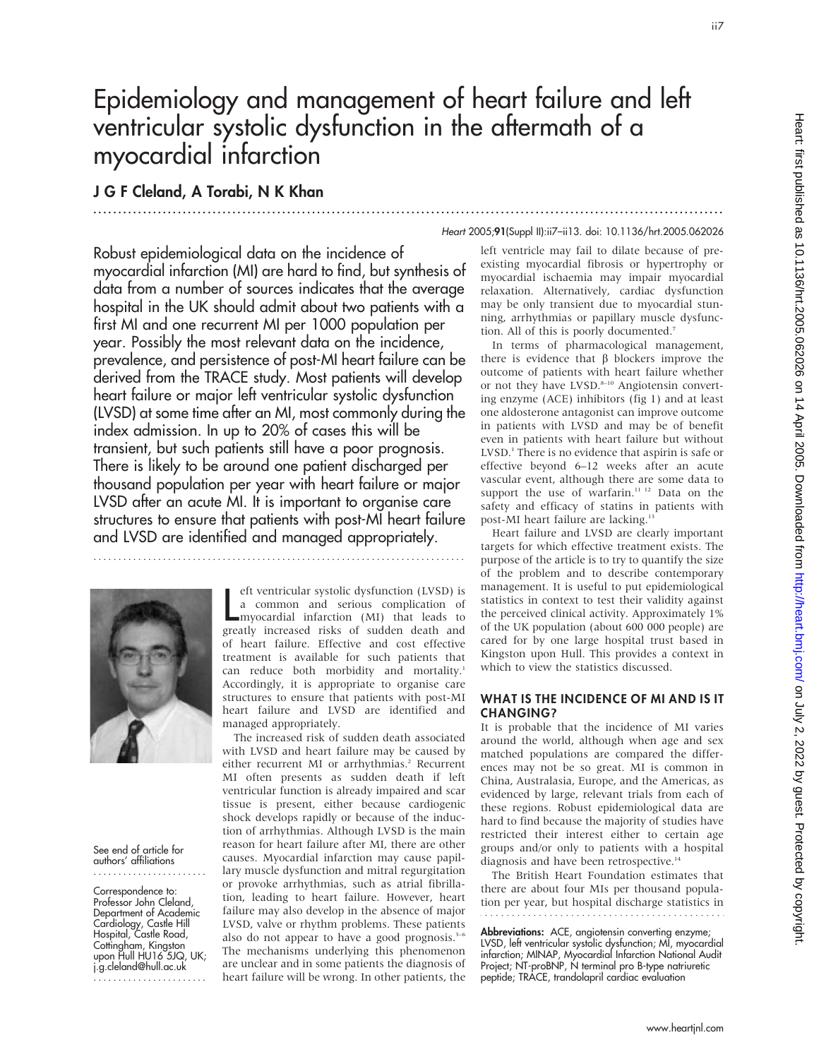# Epidemiology and management of heart failure and left ventricular systolic dysfunction in the aftermath of a myocardial infarction

...............................................................................................................................

## J G F Cleland, A Torabi, N K Khan

#### Heart 2005;91(Suppl II):ii7–ii13. doi: 10.1136/hrt.2005.062026

Robust epidemiological data on the incidence of myocardial infarction (MI) are hard to find, but synthesis of data from a number of sources indicates that the average hospital in the UK should admit about two patients with a first MI and one recurrent MI per 1000 population per year. Possibly the most relevant data on the incidence, prevalence, and persistence of post-MI heart failure can be derived from the TRACE study. Most patients will develop heart failure or major left ventricular systolic dysfunction (LVSD) at some time after an MI, most commonly during the index admission. In up to 20% of cases this will be transient, but such patients still have a poor prognosis. There is likely to be around one patient discharged per thousand population per year with heart failure or major LVSD after an acute MI. It is important to organise care structures to ensure that patients with post-MI heart failure and LVSD are identified and managed appropriately.

...........................................................................



#### See end of article for authors' affiliations .......................

Correspondence to: Professor John Cleland, Department of Academic Cardiology, Castle Hill Hospital, Castle Road, Cottingham, Kingston upon Hull HU16 5JQ, UK; j.g.cleland@hull.ac.uk .......................

eft ventricular systolic dystunction (LVSD) is<br>a common and serious complication of<br>myocardial infarction (MI) that leads to<br>greatly increased risks of sudden death and eft ventricular systolic dysfunction (LVSD) is a common and serious complication of myocardial infarction (MI) that leads to of heart failure. Effective and cost effective treatment is available for such patients that can reduce both morbidity and mortality.<sup>1</sup> Accordingly, it is appropriate to organise care structures to ensure that patients with post-MI heart failure and LVSD are identified and managed appropriately.

The increased risk of sudden death associated with LVSD and heart failure may be caused by either recurrent MI or arrhythmias.<sup>2</sup> Recurrent MI often presents as sudden death if left ventricular function is already impaired and scar tissue is present, either because cardiogenic shock develops rapidly or because of the induction of arrhythmias. Although LVSD is the main reason for heart failure after MI, there are other causes. Myocardial infarction may cause papillary muscle dysfunction and mitral regurgitation or provoke arrhythmias, such as atrial fibrillation, leading to heart failure. However, heart failure may also develop in the absence of major LVSD, valve or rhythm problems. These patients also do not appear to have a good prognosis. $3-6$ The mechanisms underlying this phenomenon are unclear and in some patients the diagnosis of heart failure will be wrong. In other patients, the

left ventricle may fail to dilate because of preexisting myocardial fibrosis or hypertrophy or myocardial ischaemia may impair myocardial relaxation. Alternatively, cardiac dysfunction may be only transient due to myocardial stunning, arrhythmias or papillary muscle dysfunction. All of this is poorly documented.7

In terms of pharmacological management, there is evidence that  $\beta$  blockers improve the outcome of patients with heart failure whether or not they have LVSD.<sup>8-10</sup> Angiotensin converting enzyme (ACE) inhibitors (fig 1) and at least one aldosterone antagonist can improve outcome in patients with LVSD and may be of benefit even in patients with heart failure but without LVSD.<sup>1</sup> There is no evidence that aspirin is safe or effective beyond 6–12 weeks after an acute vascular event, although there are some data to support the use of warfarin.<sup>11 12</sup> Data on the safety and efficacy of statins in patients with post-MI heart failure are lacking.<sup>13</sup>

Heart failure and LVSD are clearly important targets for which effective treatment exists. The purpose of the article is to try to quantify the size of the problem and to describe contemporary management. It is useful to put epidemiological statistics in context to test their validity against the perceived clinical activity. Approximately 1% of the UK population (about 600 000 people) are cared for by one large hospital trust based in Kingston upon Hull. This provides a context in which to view the statistics discussed.

#### WHAT IS THE INCIDENCE OF MI AND IS IT CHANGING?

It is probable that the incidence of MI varies around the world, although when age and sex matched populations are compared the differences may not be so great. MI is common in China, Australasia, Europe, and the Americas, as evidenced by large, relevant trials from each of these regions. Robust epidemiological data are hard to find because the majority of studies have restricted their interest either to certain age groups and/or only to patients with a hospital diagnosis and have been retrospective.<sup>14</sup>

The British Heart Foundation estimates that there are about four MIs per thousand population per year, but hospital discharge statistics in 

Abbreviations: ACE, angiotensin converting enzyme; LVSD, left ventricular systolic dysfunction; MI, myocardial infarction; MINAP, Myocardial Infarction National Audit Project; NT-proBNP, N terminal pro B-type natriuretic peptide; TRACE, trandolapril cardiac evaluation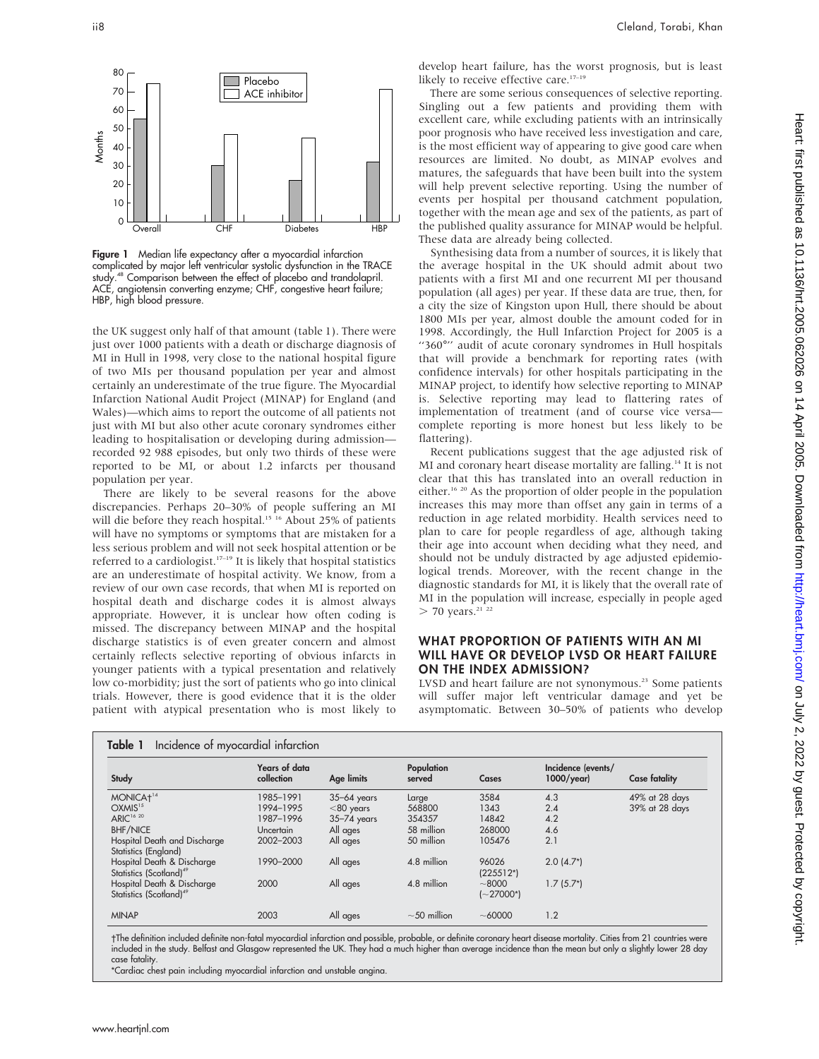

Figure 1 Median life expectancy after a myocardial infarction complicated by major left ventricular systolic dysfunction in the TRACE study.<sup>48</sup> Comparison between the effect of placebo and trandolapril. ACE, angiotensin converting enzyme; CHF, congestive heart failure; HBP, high blood pressure.

the UK suggest only half of that amount (table 1). There were just over 1000 patients with a death or discharge diagnosis of MI in Hull in 1998, very close to the national hospital figure of two MIs per thousand population per year and almost certainly an underestimate of the true figure. The Myocardial Infarction National Audit Project (MINAP) for England (and Wales)—which aims to report the outcome of all patients not just with MI but also other acute coronary syndromes either leading to hospitalisation or developing during admission recorded 92 988 episodes, but only two thirds of these were reported to be MI, or about 1.2 infarcts per thousand population per year.

There are likely to be several reasons for the above discrepancies. Perhaps 20–30% of people suffering an MI will die before they reach hospital.<sup>15 16</sup> About 25% of patients will have no symptoms or symptoms that are mistaken for a less serious problem and will not seek hospital attention or be referred to a cardiologist. $17-19$  It is likely that hospital statistics are an underestimate of hospital activity. We know, from a review of our own case records, that when MI is reported on hospital death and discharge codes it is almost always appropriate. However, it is unclear how often coding is missed. The discrepancy between MINAP and the hospital discharge statistics is of even greater concern and almost certainly reflects selective reporting of obvious infarcts in younger patients with a typical presentation and relatively low co-morbidity; just the sort of patients who go into clinical trials. However, there is good evidence that it is the older patient with atypical presentation who is most likely to develop heart failure, has the worst prognosis, but is least likely to receive effective care.<sup>17-19</sup>

There are some serious consequences of selective reporting. Singling out a few patients and providing them with excellent care, while excluding patients with an intrinsically poor prognosis who have received less investigation and care, is the most efficient way of appearing to give good care when resources are limited. No doubt, as MINAP evolves and matures, the safeguards that have been built into the system will help prevent selective reporting. Using the number of events per hospital per thousand catchment population, together with the mean age and sex of the patients, as part of the published quality assurance for MINAP would be helpful. These data are already being collected.

Synthesising data from a number of sources, it is likely that the average hospital in the UK should admit about two patients with a first MI and one recurrent MI per thousand population (all ages) per year. If these data are true, then, for a city the size of Kingston upon Hull, there should be about 1800 MIs per year, almost double the amount coded for in 1998. Accordingly, the Hull Infarction Project for 2005 is a "360°" audit of acute coronary syndromes in Hull hospitals that will provide a benchmark for reporting rates (with confidence intervals) for other hospitals participating in the MINAP project, to identify how selective reporting to MINAP is. Selective reporting may lead to flattering rates of implementation of treatment (and of course vice versa complete reporting is more honest but less likely to be flattering).

Recent publications suggest that the age adjusted risk of MI and coronary heart disease mortality are falling.<sup>14</sup> It is not clear that this has translated into an overall reduction in either.16 20 As the proportion of older people in the population increases this may more than offset any gain in terms of a reduction in age related morbidity. Health services need to plan to care for people regardless of age, although taking their age into account when deciding what they need, and should not be unduly distracted by age adjusted epidemiological trends. Moreover, with the recent change in the diagnostic standards for MI, it is likely that the overall rate of MI in the population will increase, especially in people aged  $>$  70 years.<sup>21</sup> <sup>22</sup>

### WHAT PROPORTION OF PATIENTS WITH AN MI WILL HAVE OR DEVELOP LVSD OR HEART FAILURE ON THE INDEX ADMISSION?

LVSD and heart failure are not synonymous.<sup>23</sup> Some patients will suffer major left ventricular damage and yet be asymptomatic. Between 30–50% of patients who develop

| Study                                                             | Years of data<br>collection | Age limits      | Population<br>served | Cases                      | Incidence (events/<br>$1000$ /year) | <b>Case fatality</b> |
|-------------------------------------------------------------------|-----------------------------|-----------------|----------------------|----------------------------|-------------------------------------|----------------------|
| MONICA <sup>+14</sup>                                             | 1985–1991                   | $35 - 64$ years | Large                | 3584                       | 4.3                                 | 49% at 28 days       |
| OXMIS <sup>15</sup>                                               | 1994-1995                   | $<$ 80 years    | 568800               | 1343                       | 2.4                                 | 39% at 28 days       |
| ARIC <sup>16 20</sup>                                             | 1987-1996                   | $35 - 74$ years | 354357               | 14842                      | 4.2                                 |                      |
| <b>BHF/NICE</b>                                                   | Uncertain                   | All ages        | 58 million           | 268000                     | 4.6                                 |                      |
| Hospital Death and Discharge<br>Statistics (England)              | 2002-2003                   | All ages        | 50 million           | 105476                     | 2.1                                 |                      |
| Hospital Death & Discharge<br>Statistics (Scotland) <sup>49</sup> | 1990-2000                   | All ages        | 4.8 million          | 96026<br>$(225512*)$       | $2.0(4.7^{*})$                      |                      |
| Hospital Death & Discharge<br>Statistics (Scotland) <sup>49</sup> | 2000                        | All ages        | 4.8 million          | ~1000<br>$(-27000^{\ast})$ | $1.7(5.7*)$                         |                      |
| <b>MINAP</b>                                                      | 2003                        | All ages        | $\sim$ 50 million    | ~100000                    | 1.2                                 |                      |

The definition included definite non-fatal myocardial infarction and possible, probable, or definite coronary heart disease mortality. Cities from 21 countries were included in the study. Belfast and Glasgow represented the UK. They had a much higher than average incidence than the mean but only a slightly lower 28 day case fatality.

\*Cardiac chest pain including myocardial infarction and unstable angina.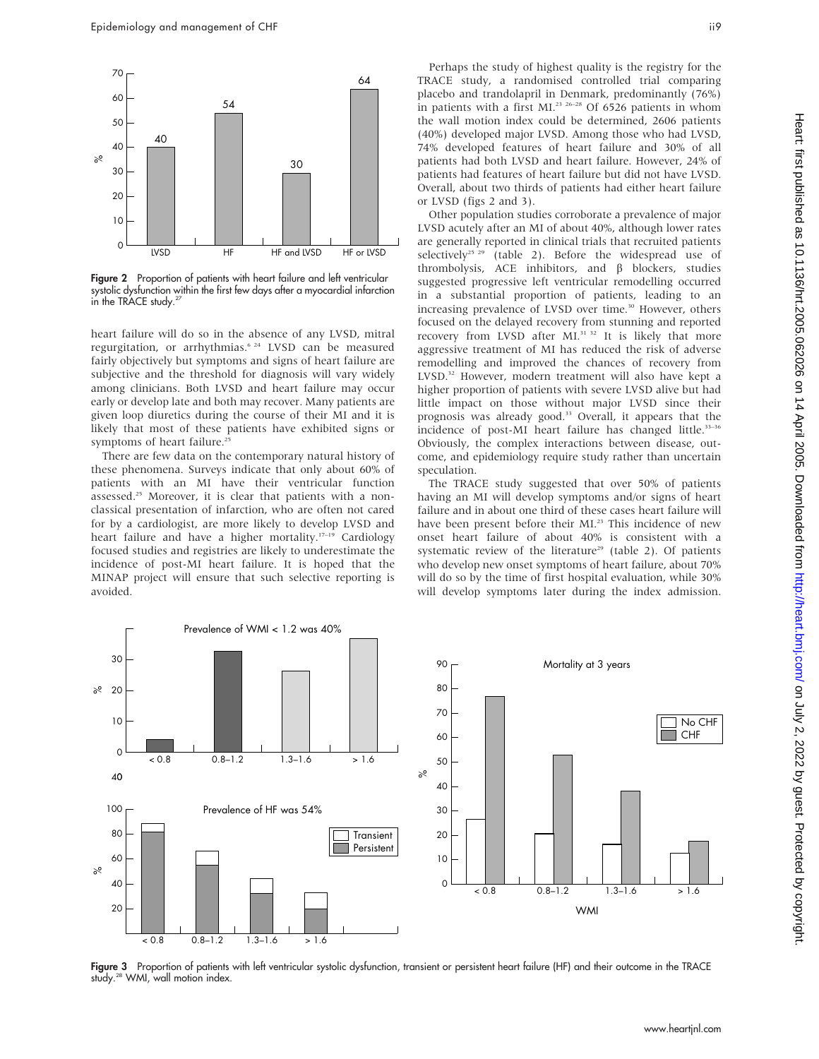

Figure 2 Proportion of patients with heart failure and left ventricular systolic dysfunction within the first few days after a myocardial infarction in the TRACE study.<sup>27</sup>

heart failure will do so in the absence of any LVSD, mitral regurgitation, or arrhythmias.6 24 LVSD can be measured fairly objectively but symptoms and signs of heart failure are subjective and the threshold for diagnosis will vary widely among clinicians. Both LVSD and heart failure may occur early or develop late and both may recover. Many patients are given loop diuretics during the course of their MI and it is likely that most of these patients have exhibited signs or symptoms of heart failure.<sup>25</sup>

There are few data on the contemporary natural history of these phenomena. Surveys indicate that only about 60% of patients with an MI have their ventricular function assessed.25 Moreover, it is clear that patients with a nonclassical presentation of infarction, who are often not cared for by a cardiologist, are more likely to develop LVSD and heart failure and have a higher mortality.<sup>17-19</sup> Cardiology focused studies and registries are likely to underestimate the incidence of post-MI heart failure. It is hoped that the MINAP project will ensure that such selective reporting is avoided.

Perhaps the study of highest quality is the registry for the TRACE study, a randomised controlled trial comparing placebo and trandolapril in Denmark, predominantly (76%) in patients with a first MI.<sup>23 26-28</sup> Of 6526 patients in whom the wall motion index could be determined, 2606 patients (40%) developed major LVSD. Among those who had LVSD, 74% developed features of heart failure and 30% of all patients had both LVSD and heart failure. However, 24% of patients had features of heart failure but did not have LVSD. Overall, about two thirds of patients had either heart failure or LVSD (figs 2 and 3).

Other population studies corroborate a prevalence of major LVSD acutely after an MI of about 40%, although lower rates are generally reported in clinical trials that recruited patients selectively<sup>25</sup> <sup>29</sup> (table 2). Before the widespread use of thrombolysis, ACE inhibitors, and  $\beta$  blockers, studies suggested progressive left ventricular remodelling occurred in a substantial proportion of patients, leading to an increasing prevalence of LVSD over time.<sup>30</sup> However, others focused on the delayed recovery from stunning and reported recovery from LVSD after MI.<sup>31 32</sup> It is likely that more aggressive treatment of MI has reduced the risk of adverse remodelling and improved the chances of recovery from LVSD.<sup>32</sup> However, modern treatment will also have kept a higher proportion of patients with severe LVSD alive but had little impact on those without major LVSD since their prognosis was already good.<sup>33</sup> Overall, it appears that the incidence of post-MI heart failure has changed little.<sup>33-36</sup> Obviously, the complex interactions between disease, outcome, and epidemiology require study rather than uncertain speculation.

The TRACE study suggested that over 50% of patients having an MI will develop symptoms and/or signs of heart failure and in about one third of these cases heart failure will have been present before their MI.<sup>23</sup> This incidence of new onset heart failure of about 40% is consistent with a systematic review of the literature<sup>29</sup> (table 2). Of patients who develop new onset symptoms of heart failure, about 70% will do so by the time of first hospital evaluation, while 30% will develop symptoms later during the index admission.



Figure 3 Proportion of patients with left ventricular systolic dysfunction, transient or persistent heart failure (HF) and their outcome in the TRACE study.<sup>28</sup> WMI, wall motion index.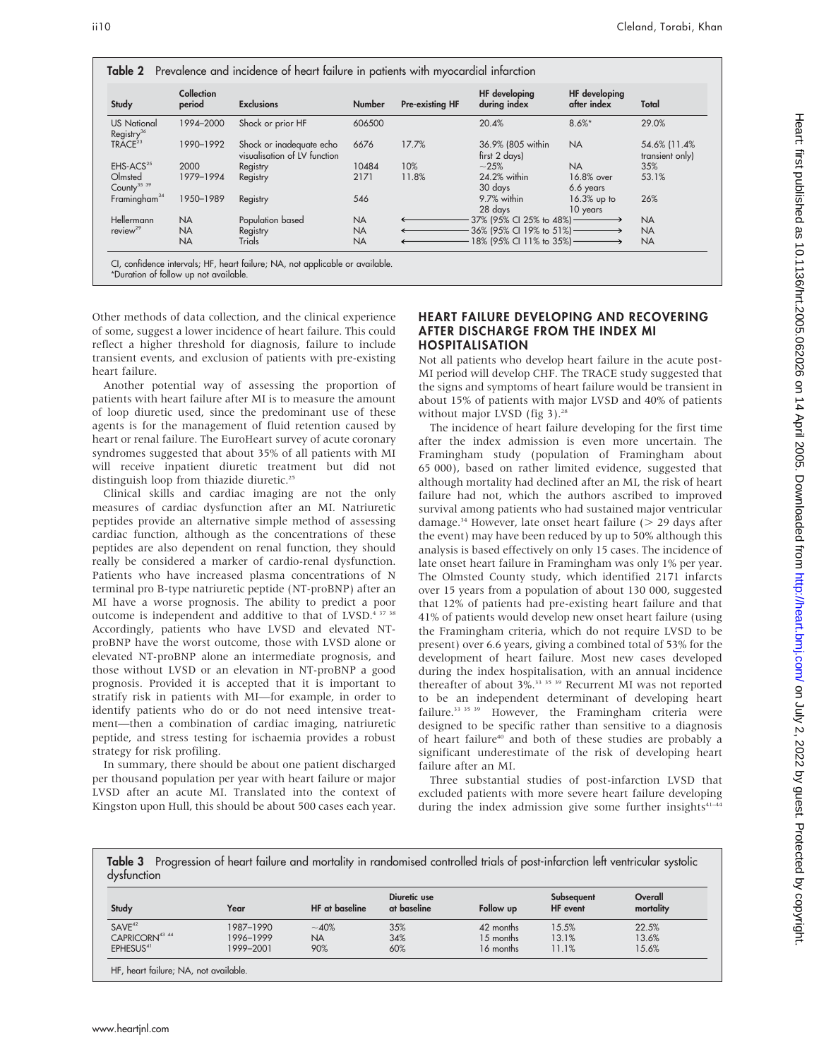| Study                                        | Collection<br>period | <b>Exclusions</b>                                        | <b>Number</b> | Pre-existing HF | HF developing<br>during index      | HF developing<br>after index | Total                            |
|----------------------------------------------|----------------------|----------------------------------------------------------|---------------|-----------------|------------------------------------|------------------------------|----------------------------------|
| <b>US National</b><br>Registry <sup>36</sup> | 1994-2000            | Shock or prior HF                                        | 606500        |                 | 20.4%                              | $8.6%$ *                     | 29.0%                            |
| TRACE <sup>23</sup>                          | 1990-1992            | Shock or inadequate echo<br>visualisation of LV function | 6676          | 17.7%           | 36.9% (805 within<br>first 2 days) | <b>NA</b>                    | 54.6% (11.4%)<br>transient only) |
| EHS-ACS <sup>25</sup>                        | 2000                 | Registry                                                 | 10484         | 10%             | $~1 - 25%$                         | <b>NA</b>                    | 35%                              |
| Olmsted<br>County <sup>35</sup> 39           | 1979-1994            | Registry                                                 | 2171          | 11.8%           | 24.2% within<br>30 days            | 16.8% over<br>6.6 years      | 53.1%                            |
| Framingham <sup>34</sup>                     | 1950-1989            | Registry                                                 | 546           |                 | 9.7% within<br>28 days             | 16.3% up to<br>10 years      | 26%                              |
| Hellermann                                   | <b>NA</b>            | Population based                                         | <b>NA</b>     |                 | $37\%$ (95% CI 25% to 48%) —       |                              | <b>NA</b>                        |
| review <sup>29</sup>                         | <b>NA</b>            | Registry                                                 | <b>NA</b>     |                 | 36% (95% CI 19% to 51%) ———→       |                              | <b>NA</b>                        |
|                                              | <b>NA</b>            | Trials                                                   | <b>NA</b>     |                 | 18% (95% CI 11% to 35%) ———————>   |                              | <b>NA</b>                        |

\*Duration of follow up not available.

Other methods of data collection, and the clinical experience of some, suggest a lower incidence of heart failure. This could reflect a higher threshold for diagnosis, failure to include transient events, and exclusion of patients with pre-existing heart failure.

Another potential way of assessing the proportion of patients with heart failure after MI is to measure the amount of loop diuretic used, since the predominant use of these agents is for the management of fluid retention caused by heart or renal failure. The EuroHeart survey of acute coronary syndromes suggested that about 35% of all patients with MI will receive inpatient diuretic treatment but did not distinguish loop from thiazide diuretic.<sup>25</sup>

Clinical skills and cardiac imaging are not the only measures of cardiac dysfunction after an MI. Natriuretic peptides provide an alternative simple method of assessing cardiac function, although as the concentrations of these peptides are also dependent on renal function, they should really be considered a marker of cardio-renal dysfunction. Patients who have increased plasma concentrations of N terminal pro B-type natriuretic peptide (NT-proBNP) after an MI have a worse prognosis. The ability to predict a poor outcome is independent and additive to that of LVSD.<sup>4 37 38</sup> Accordingly, patients who have LVSD and elevated NTproBNP have the worst outcome, those with LVSD alone or elevated NT-proBNP alone an intermediate prognosis, and those without LVSD or an elevation in NT-proBNP a good prognosis. Provided it is accepted that it is important to stratify risk in patients with MI—for example, in order to identify patients who do or do not need intensive treatment—then a combination of cardiac imaging, natriuretic peptide, and stress testing for ischaemia provides a robust strategy for risk profiling.

In summary, there should be about one patient discharged per thousand population per year with heart failure or major LVSD after an acute MI. Translated into the context of Kingston upon Hull, this should be about 500 cases each year.

### HEART FAILURE DEVELOPING AND RECOVERING AFTER DISCHARGE FROM THE INDEX MI HOSPITALISATION

Not all patients who develop heart failure in the acute post-MI period will develop CHF. The TRACE study suggested that the signs and symptoms of heart failure would be transient in about 15% of patients with major LVSD and 40% of patients without major LVSD (fig 3).<sup>28</sup>

The incidence of heart failure developing for the first time after the index admission is even more uncertain. The Framingham study (population of Framingham about 65 000), based on rather limited evidence, suggested that although mortality had declined after an MI, the risk of heart failure had not, which the authors ascribed to improved survival among patients who had sustained major ventricular damage.<sup>34</sup> However, late onset heart failure ( $>$  29 days after the event) may have been reduced by up to 50% although this analysis is based effectively on only 15 cases. The incidence of late onset heart failure in Framingham was only 1% per year. The Olmsted County study, which identified 2171 infarcts over 15 years from a population of about 130 000, suggested that 12% of patients had pre-existing heart failure and that 41% of patients would develop new onset heart failure (using the Framingham criteria, which do not require LVSD to be present) over 6.6 years, giving a combined total of 53% for the development of heart failure. Most new cases developed during the index hospitalisation, with an annual incidence thereafter of about 3%.<sup>33 35</sup> 39 Recurrent MI was not reported to be an independent determinant of developing heart failure.<sup>33 35</sup> 39 However, the Framingham criteria were designed to be specific rather than sensitive to a diagnosis of heart failure<sup>40</sup> and both of these studies are probably a significant underestimate of the risk of developing heart failure after an MI.

Three substantial studies of post-infarction LVSD that excluded patients with more severe heart failure developing during the index admission give some further insights $41-44$ 

Table 3 Progression of heart failure and mortality in randomised controlled trials of post-infarction left ventricular systolic dysfunction

| Study                      | Year      | HF at baseline | Diuretic use<br>at baseline | Follow up | Subsequent<br>HF event | Overall<br>mortality |
|----------------------------|-----------|----------------|-----------------------------|-----------|------------------------|----------------------|
| SAVE <sup>42</sup>         | 1987-1990 | $~10\%$        | 35%                         | 42 months | 15.5%                  | 22.5%                |
| CAPRICORN <sup>43 44</sup> | 1996-1999 | <b>NA</b>      | 34%                         | 15 months | 13.1%                  | 13.6%                |
| EPHESUS <sup>41</sup>      | 1999-2001 | 90%            | 60%                         | 16 months | 11.1%                  | 15.6%                |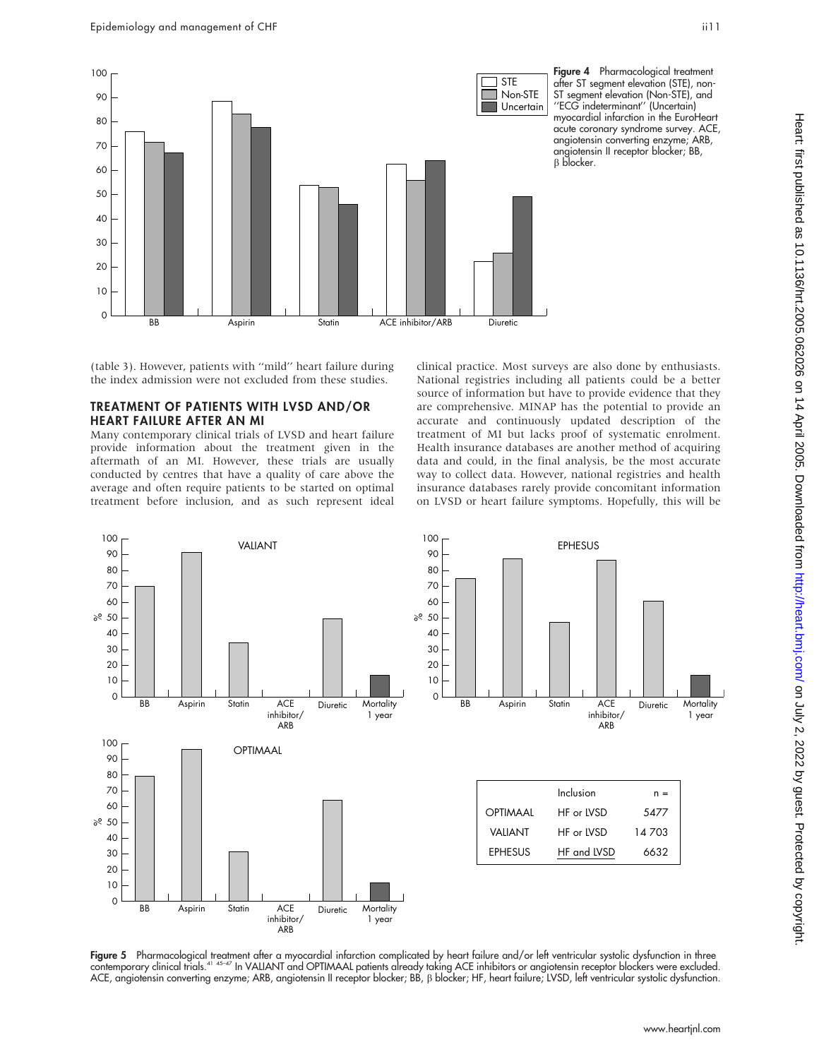

Figure 4 Pharmacological treatment after ST segment elevation (STE), non-ST segment elevation (Non-STE), and ''ECG indeterminant'' (Uncertain) myocardial infarction in the EuroHeart acute coronary syndrome survey. ACE, angiotensin converting enzyme; ARB, angiotensin II receptor blocker; BB, B blocker.

(table 3). However, patients with ''mild'' heart failure during the index admission were not excluded from these studies.

## TREATMENT OF PATIENTS WITH LVSD AND/OR HEART FAILURE AFTER AN MI

Many contemporary clinical trials of LVSD and heart failure provide information about the treatment given in the aftermath of an MI. However, these trials are usually conducted by centres that have a quality of care above the average and often require patients to be started on optimal treatment before inclusion, and as such represent ideal

clinical practice. Most surveys are also done by enthusiasts. National registries including all patients could be a better source of information but have to provide evidence that they are comprehensive. MINAP has the potential to provide an accurate and continuously updated description of the treatment of MI but lacks proof of systematic enrolment. Health insurance databases are another method of acquiring data and could, in the final analysis, be the most accurate way to collect data. However, national registries and health insurance databases rarely provide concomitant information on LVSD or heart failure symptoms. Hopefully, this will be



F**igure 5** Pharmacological treatment after a myocardial infarction complicated by heart failure and/or left ventricular systolic dysfunction in three<br>contemporary clinical trials.<sup>41 45-47</sup> In VALIANT and OPTIMAAL patients ACE, angiotensin converting enzyme; ARB, angiotensin II receptor blocker; BB, b blocker; HF, heart failure; LVSD, left ventricular systolic dysfunction.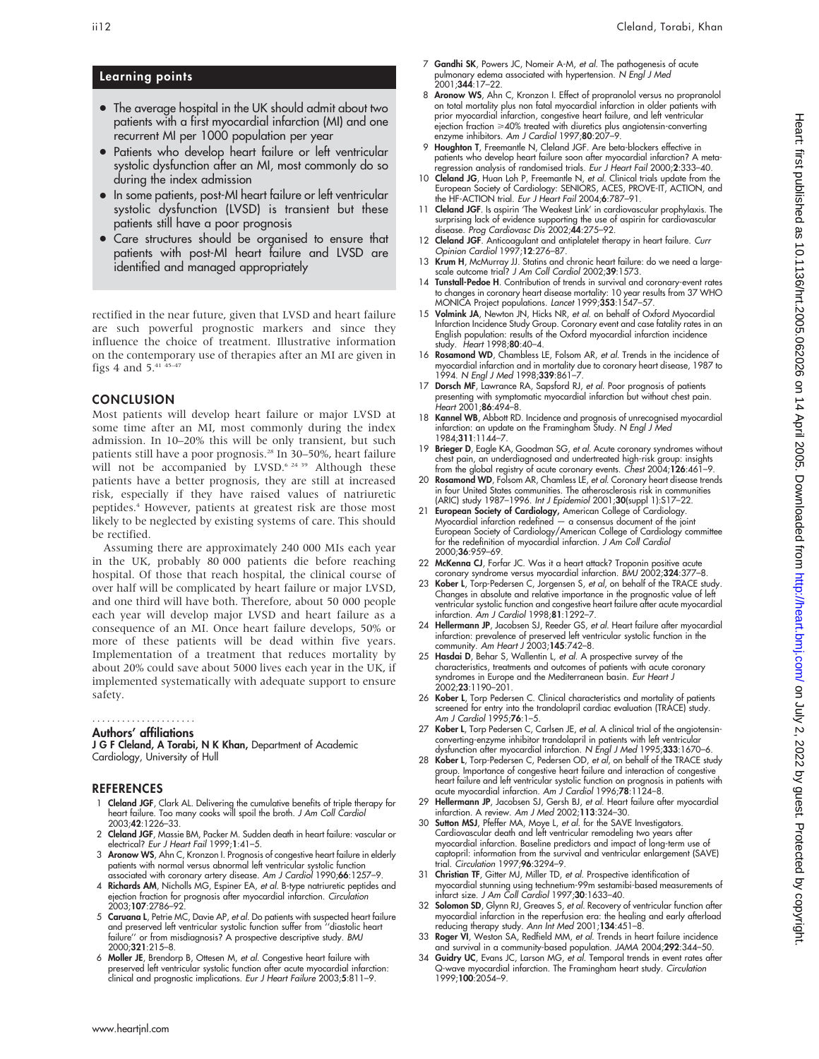## Learning points

- The average hospital in the UK should admit about two patients with a first myocardial infarction (MI) and one recurrent MI per 1000 population per year
- Patients who develop heart failure or left ventricular systolic dysfunction after an MI, most commonly do so during the index admission
- In some patients, post-MI heart failure or left ventricular systolic dysfunction (LVSD) is transient but these patients still have a poor prognosis
- Care structures should be organised to ensure that patients with post-MI heart failure and LVSD are identified and managed appropriately

rectified in the near future, given that LVSD and heart failure are such powerful prognostic markers and since they influence the choice of treatment. Illustrative information on the contemporary use of therapies after an MI are given in figs 4 and  $5.^{41}$   $45-47$ 

#### **CONCLUSION**

Most patients will develop heart failure or major LVSD at some time after an MI, most commonly during the index admission. In 10–20% this will be only transient, but such patients still have a poor prognosis.<sup>28</sup> In 30-50%, heart failure will not be accompanied by LVSD.<sup>6 24 39</sup> Although these patients have a better prognosis, they are still at increased risk, especially if they have raised values of natriuretic peptides.4 However, patients at greatest risk are those most likely to be neglected by existing systems of care. This should be rectified.

Assuming there are approximately 240 000 MIs each year in the UK, probably 80 000 patients die before reaching hospital. Of those that reach hospital, the clinical course of over half will be complicated by heart failure or major LVSD, and one third will have both. Therefore, about 50 000 people each year will develop major LVSD and heart failure as a consequence of an MI. Once heart failure develops, 50% or more of these patients will be dead within five years. Implementation of a treatment that reduces mortality by about 20% could save about 5000 lives each year in the UK, if implemented systematically with adequate support to ensure safety.

#### Authors' affiliations .....................

J G F Cleland, A Torabi, N K Khan, Department of Academic Cardiology, University of Hull

#### **REFERENCES**

- 1 Cleland JGF, Clark AL. Delivering the cumulative benefits of triple therapy for heart failure. Too many cooks will spoil the broth. J Am Coll Cardiol 2003;42:1226–33.
- 2 Cleland JGF, Massie BM, Packer M. Sudden death in heart failure: vascular or electrical? Eur J Heart Fail 1999;1:41-5.
- 3 Aronow WS, Ahn C, Kronzon I. Prognosis of congestive heart failure in elderly patients with normal versus abnormal left ventricular systolic function associated with coronary artery disease. Am J Cardiol 1990;66:1257-9.
- 4 Richards AM, Nicholls MG, Espiner EA, et al. B-type natriuretic peptides and ejection fraction for prognosis after myocardial infarction. Circulation 2003;107:2786–92.
- 5 Caruana L, Petrie MC, Davie AP, et al. Do patients with suspected heart failure and preserved left ventricular systolic function suffer from ''diastolic heart failure'' or from misdiagnosis? A prospective descriptive study. BMJ 2000;321:215–8.
- 6 Moller JE, Brendorp B, Ottesen M, et al. Congestive heart failure with preserved lelt ventricular systolic function alter acute myocardial infarction:<br>clinical and prognostic implications. *Eur J Heart Failure* 2003;**5**:811–9.
- 7 Gandhi SK, Powers JC, Nomeir A-M, et al. The pathogenesis of acute pulmonary edema associated with hypertension. N Engl J Med 2001;344:17–22.
- 8 Aronow WS, Ahn C, Kronzon I. Effect of propranolol versus no propranolol on total mortality plus non fatal myocardial infarction in older patients with prior myocardial infarction, congestive heart failure, and left ventricular  $e$ jection fraction  $\geqslant$ 40% treated with diuretics plus angiotensin-converting enzyme inhibitors. Am J Cardiol 1997;80:207–9.
- 9 Houghton T, Freemantle N, Cleland JGF. Are beta-blockers effective in patients who develop heart failure soon after myocardial infarction? A meta-<br>regression analysis of randomised trials. *Eur J Heart Fail* 2000;**2**:333–40.
- 10 Cleland JG, Huan Loh P, Freemantle N, et al. Clinical trials update from the European Society of Cardiology: SENIORS, ACES, PROVE-IT, ACTION, and the HF-ACTION trial. Eur J Heart Fail 2004;6:787-91.
- 11 Cleland JGF. Is aspirin 'The Weakest Link' in cardiovascular prophylaxis. The surprising lack of evidence supporting the use of aspirin for cardiovascular disease. Prog Cardiovasc Dis 2002;44:275–92.
- 12 Cleland JGF. Anticoagulant and antiplatelet therapy in heart failure. Curr Opinion Cardiol 1997;12:276–87.
- 13 Krum H, McMurray JJ. Statins and chronic heart failure: do we need a largescale outcome trial? J Am Coll Cardiol 2002;39:1573.
- 14 Tunstall-Pedoe H. Contribution of trends in survival and coronary-event rates to changes in coronary heart disease mortality: 10 year results from 37 WHO MONICA Project populations. Lancet 1999;353:1547-57.
- 15 Volmink JA, Newton JN, Hicks NR, et al. on behalf of Oxford Myocardial Infarction Incidence Study Group. Coronary event and case fatality rates in an English population: results of the Oxford myocardial infarction incidence study. Heart 1998;80:40–4.
- 16 Rosamond WD, Chambless LE, Folsom AR, et al. Trends in the incidence of myocardial infarction and in mortality due to coronary heart disease, 1987 to 1994. N Engl J Med 1998;339:861-7
- 17 Dorsch MF, Lawrance RA, Sapsford RJ, et al. Poor prognosis of patients presenting with symptomatic myocardial infarction but without chest pain.<br>*Heart* 2001;**86**:494–8.
- 18 Kannel WB, Abbott RD. Incidence and prognosis of unrecognised myocardial infarction: an update on the Framingham Study. N Engl J Med 1984;311:1144–7.
- 19 Brieger D, Eagle KA, Goodman SG, et al. Acute coronary syndromes without chest pain, an underdiagnosed and undertreated high-risk group: insights from the global registry of acute coronary events. Chest 2004;126:461–9.
- Rosamond WD, Folsom AR, Chamless LE, et al. Coronary heart disease trends in four United States communities. The atherosclerosis risk in communities (ARIC) study 1987–1996. Int J Epidemiol 2001;30(suppl 1):S17–22.
- 21 European Society of Cardiology, American College of Cardiology. Myocardial infarction redefined a consensus document of the joint European Society of Cardiology/American College of Cardiology committee for the redefinition of myocardial infarction. J Am Coll Cardiol 2000;36:959–69.
- 22 McKenna CJ, Forfar JC. Was it a heart attack? Troponin positive acute
- coronary syndrome versus myocardial infarction. BMJ 2002;324:377–8. 23 Kober L, Torp-Pedersen C, Jorgensen S, et al, on behalf of the TRACE study. Changes in absolute and relative importance in the prognostic value of left ventricular systolic function and congestive heart failure after acute myocardial infarction. Am J Cardiol 1998;81:1292–7.
- 24 Hellermann JP, Jacobsen SJ, Reeder GS, et al. Heart failure after myocardial infarction: prevalence of preserved left ventricular systolic function in the community. Am Heart J 2003;145:742–8.
- 25 Hasdai D, Behar S, Wallentin L, et al. A prospective survey of the characteristics, treatments and outcomes of patients with acute coronary syndromes in Europe and the Mediterranean basin. Eur Heart J 2002;23:1190–201.
- 26 Kober L, Torp Pedersen C. Clinical characteristics and mortality of patients screened for entry into the trandolapril cardiac evaluation (TRACE) study. Am J Cardiol 1995;76:1–5.
- 27 Kober L, Torp Pedersen C, Carlsen JE, et al. A clinical trial of the angiotensinconverting-enzyme inhibitor trandolapril in patients with left ventricular dysfunction after myocardial infarction. N Engl J Med 1995;333:1670-6.
- 28 Kober L, Torp-Pedersen C, Pedersen OD, et al, on behalf of the TRACE study group. Importance of congestive heart failure and interaction of congestive<br>heart failure and left ventricular systolic function on prognosis in patients with<br>acute myocardial infarction. Am J Cardiol 1996;**78**:1124–8.
- 29 Hellermann JP, Jacobsen SJ, Gersh BJ, et al. Heart failure after myocardial infarction. A review. Am J Med 2002;113:324–30.
- 30 Sutton MSJ, Pfeffer MA, Moye L, et al. for the SAVE Investigators. Cardiovascular death and left ventricular remodeling two years after myocardial infarction. Baseline predictors and impact of long-term use of captopril: information from the survival and ventricular enlargement (SAVE) trial. Circulation 1997;96:3294–9.
- 31 Christian TF, Gitter MJ, Miller TD, et al. Prospective identification of myocardial stunning using technetium-99m sestamibi-based measurements of infarct size. J Am Coll Cardiol 1997;30:1633–40.
- 32 Solomon SD, Glynn RJ, Greaves S, et al. Recovery of ventricular function after myocardial infarction in the reperfusion era: the healing and early afterload reducing therapy study. Ann Int Med 2001;134:451–8.
- 33 Roger VI, Weston SA, Redfield MM, et al. Trends in heart failure incidence
- and survival in a community-based population. JAMA 2004;**292**:344–50.<br>34 Gui**dry UC**, Evans JC, Larson MG, *et al.* Temporal trends in event rates after Q-wave myocardial infarction. The Framingham heart study. *Circulation*<br>1999;**100**:2054–9.